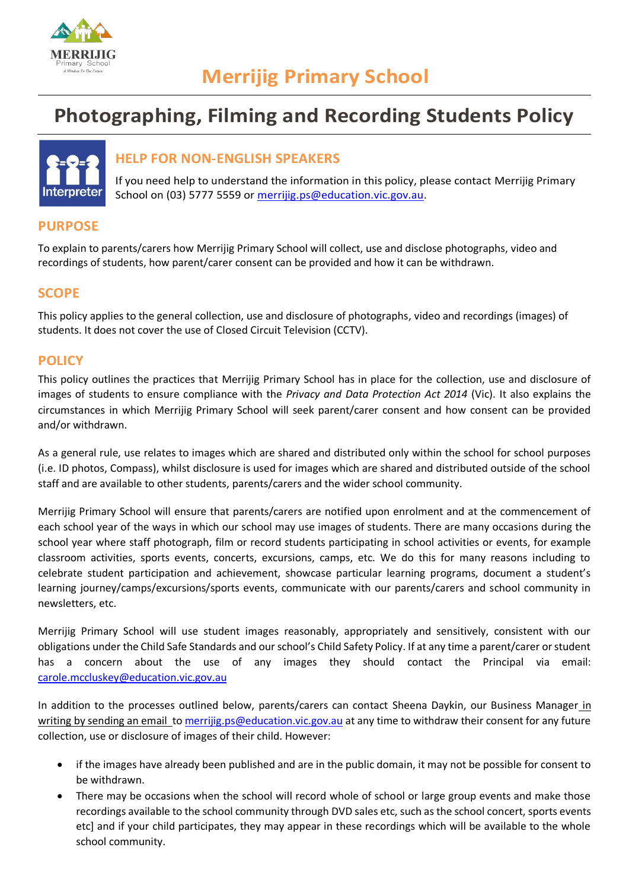

# **Photographing, Filming and Recording Students Policy**



# **HELP FOR NON-ENGLISH SPEAKERS**

If you need help to understand the information in this policy, please contact Merrijig Primary School on (03) 5777 5559 or [merrijig.ps@education.vic.gov.au.](mailto:merrijig.ps@education.vic.gov.au)

# **PURPOSE**

To explain to parents/carers how Merrijig Primary School will collect, use and disclose photographs, video and recordings of students, how parent/carer consent can be provided and how it can be withdrawn.

# **SCOPE**

This policy applies to the general collection, use and disclosure of photographs, video and recordings (images) of students. It does not cover the use of Closed Circuit Television (CCTV).

# **POLICY**

This policy outlines the practices that Merrijig Primary School has in place for the collection, use and disclosure of images of students to ensure compliance with the *Privacy and Data Protection Act 2014* (Vic). It also explains the circumstances in which Merrijig Primary School will seek parent/carer consent and how consent can be provided and/or withdrawn.

As a general rule, use relates to images which are shared and distributed only within the school for school purposes (i.e. ID photos, Compass), whilst disclosure is used for images which are shared and distributed outside of the school staff and are available to other students, parents/carers and the wider school community.

Merrijig Primary School will ensure that parents/carers are notified upon enrolment and at the commencement of each school year of the ways in which our school may use images of students. There are many occasions during the school year where staff photograph, film or record students participating in school activities or events, for example classroom activities, sports events, concerts, excursions, camps, etc. We do this for many reasons including to celebrate student participation and achievement, showcase particular learning programs, document a student's learning journey/camps/excursions/sports events, communicate with our parents/carers and school community in newsletters, etc.

Merrijig Primary School will use student images reasonably, appropriately and sensitively, consistent with our obligations under the Child Safe Standards and our school's Child Safety Policy. If at any time a parent/carer or student has a concern about the use of any images they should contact the Principal via email: [carole.mccluskey@education.vic.gov.au](mailto:carole.mccluskey@education.vic.gov.au)

In addition to the processes outlined below, parents/carers can contact Sheena Daykin, our Business Manager in writing by sending an email t[o merrijig.ps@education.vic.gov.au](mailto:merrijig.ps@education.vic.gov.au) at any time to withdraw their consent for any future collection, use or disclosure of images of their child. However:

- if the images have already been published and are in the public domain, it may not be possible for consent to be withdrawn.
- There may be occasions when the school will record whole of school or large group events and make those recordings available to the school community through DVD sales etc, such as the school concert, sports events etc] and if your child participates, they may appear in these recordings which will be available to the whole school community.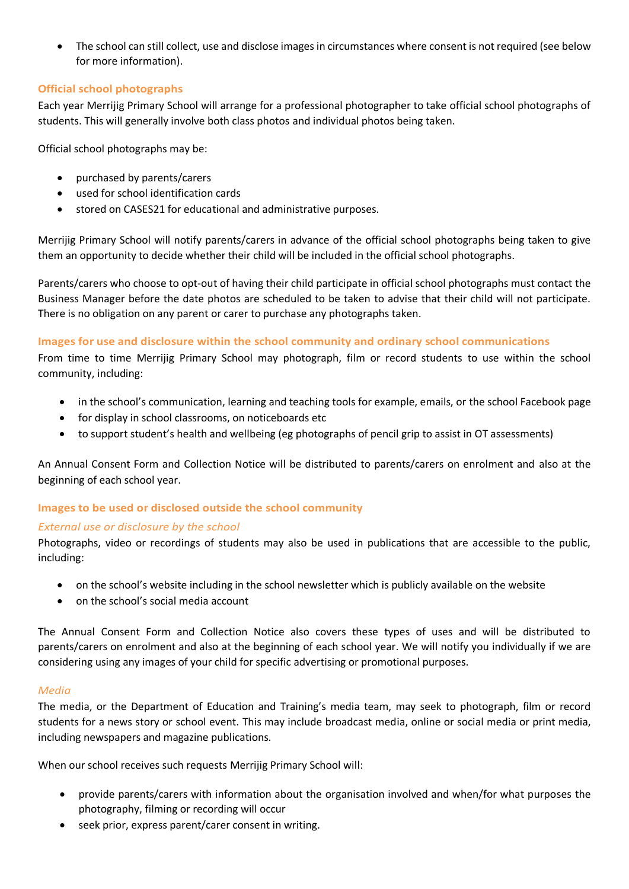• The school can still collect, use and disclose images in circumstances where consent is not required (see below for more information).

## **Official school photographs**

Each year Merrijig Primary School will arrange for a professional photographer to take official school photographs of students. This will generally involve both class photos and individual photos being taken.

Official school photographs may be:

- purchased by parents/carers
- used for school identification cards
- stored on CASES21 for educational and administrative purposes.

Merrijig Primary School will notify parents/carers in advance of the official school photographs being taken to give them an opportunity to decide whether their child will be included in the official school photographs.

Parents/carers who choose to opt-out of having their child participate in official school photographs must contact the Business Manager before the date photos are scheduled to be taken to advise that their child will not participate. There is no obligation on any parent or carer to purchase any photographs taken.

## **Images for use and disclosure within the school community and ordinary school communications**

From time to time Merrijig Primary School may photograph, film or record students to use within the school community, including:

- in the school's communication, learning and teaching tools for example, emails, or the school Facebook page
- for display in school classrooms, on noticeboards etc
- to support student's health and wellbeing (eg photographs of pencil grip to assist in OT assessments)

An Annual Consent Form and Collection Notice will be distributed to parents/carers on enrolment and also at the beginning of each school year.

## **Images to be used or disclosed outside the school community**

## *External use or disclosure by the school*

Photographs, video or recordings of students may also be used in publications that are accessible to the public, including:

- on the school's website including in the school newsletter which is publicly available on the website
- on the school's social media account

The Annual Consent Form and Collection Notice also covers these types of uses and will be distributed to parents/carers on enrolment and also at the beginning of each school year. We will notify you individually if we are considering using any images of your child for specific advertising or promotional purposes.

#### *Media*

The media, or the Department of Education and Training's media team, may seek to photograph, film or record students for a news story or school event. This may include broadcast media, online or social media or print media, including newspapers and magazine publications.

When our school receives such requests Merrijig Primary School will:

- provide parents/carers with information about the organisation involved and when/for what purposes the photography, filming or recording will occur
- seek prior, express parent/carer consent in writing.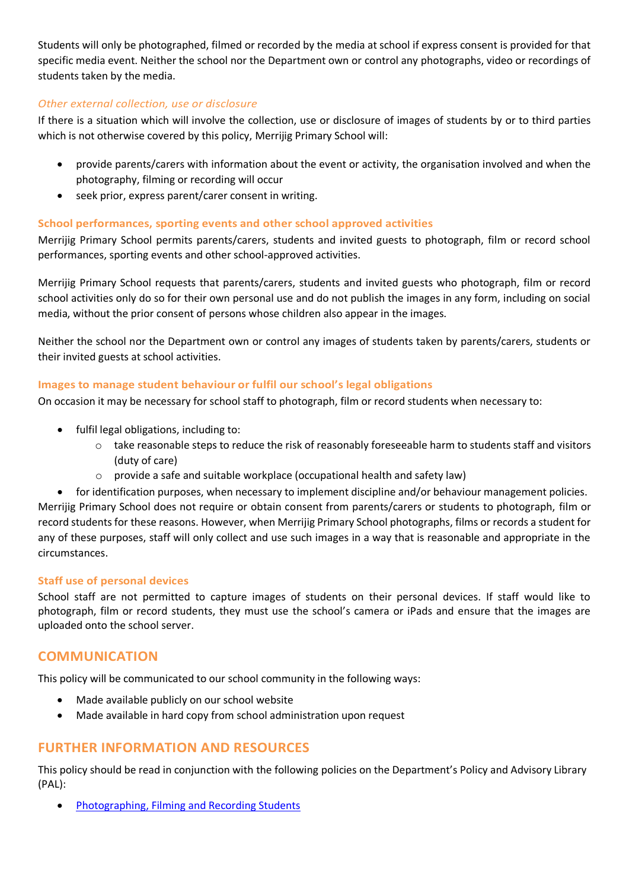Students will only be photographed, filmed or recorded by the media at school if express consent is provided for that specific media event. Neither the school nor the Department own or control any photographs, video or recordings of students taken by the media.

## *Other external collection, use or disclosure*

If there is a situation which will involve the collection, use or disclosure of images of students by or to third parties which is not otherwise covered by this policy, Merrijig Primary School will:

- provide parents/carers with information about the event or activity, the organisation involved and when the photography, filming or recording will occur
- seek prior, express parent/carer consent in writing.

## **School performances, sporting events and other school approved activities**

Merrijig Primary School permits parents/carers, students and invited guests to photograph, film or record school performances, sporting events and other school-approved activities.

Merrijig Primary School requests that parents/carers, students and invited guests who photograph, film or record school activities only do so for their own personal use and do not publish the images in any form, including on social media, without the prior consent of persons whose children also appear in the images.

Neither the school nor the Department own or control any images of students taken by parents/carers, students or their invited guests at school activities.

#### **Images to manage student behaviour or fulfil our school's legal obligations**

On occasion it may be necessary for school staff to photograph, film or record students when necessary to:

- fulfil legal obligations, including to:
	- $\circ$  take reasonable steps to reduce the risk of reasonably foreseeable harm to students staff and visitors (duty of care)
	- $\circ$  provide a safe and suitable workplace (occupational health and safety law)

• for identification purposes, when necessary to implement discipline and/or behaviour management policies. Merrijig Primary School does not require or obtain consent from parents/carers or students to photograph, film or record students for these reasons. However, when Merrijig Primary School photographs, films or records a student for any of these purposes, staff will only collect and use such images in a way that is reasonable and appropriate in the circumstances.

#### **Staff use of personal devices**

School staff are not permitted to capture images of students on their personal devices. If staff would like to photograph, film or record students, they must use the school's camera or iPads and ensure that the images are uploaded onto the school server.

## **COMMUNICATION**

This policy will be communicated to our school community in the following ways:

- Made available publicly on our school website
- Made available in hard copy from school administration upon request

# **FURTHER INFORMATION AND RESOURCES**

This policy should be read in conjunction with the following policies on the Department's Policy and Advisory Library (PAL):

• [Photographing, Filming and Recording Students](https://www2.education.vic.gov.au/pal/photographing-students/policy)